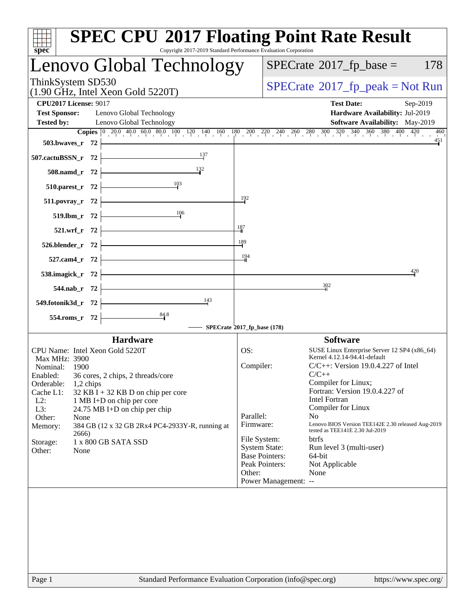| spec <sup>®</sup>                                                                                                                                                                                                                                                                                                                                                                                                                                  | <b>SPEC CPU®2017 Floating Point Rate Result</b><br>Copyright 2017-2019 Standard Performance Evaluation Corporation                                                                                                                                                                                                                                                                                                                                                                                                                                                                                                       |
|----------------------------------------------------------------------------------------------------------------------------------------------------------------------------------------------------------------------------------------------------------------------------------------------------------------------------------------------------------------------------------------------------------------------------------------------------|--------------------------------------------------------------------------------------------------------------------------------------------------------------------------------------------------------------------------------------------------------------------------------------------------------------------------------------------------------------------------------------------------------------------------------------------------------------------------------------------------------------------------------------------------------------------------------------------------------------------------|
| Lenovo Global Technology                                                                                                                                                                                                                                                                                                                                                                                                                           | $SPECrate^{\circ}2017$ _fp_base =<br>178                                                                                                                                                                                                                                                                                                                                                                                                                                                                                                                                                                                 |
| ThinkSystem SD530<br>$(1.90 \text{ GHz}, \text{Intel Xeon Gold } 5220 \text{T})$                                                                                                                                                                                                                                                                                                                                                                   | $SPECrate^{\circ}2017$ _fp_peak = Not Run                                                                                                                                                                                                                                                                                                                                                                                                                                                                                                                                                                                |
| <b>CPU2017 License: 9017</b><br><b>Test Sponsor:</b><br>Lenovo Global Technology<br><b>Tested by:</b><br>Lenovo Global Technology<br>503.bwaves_r $72$                                                                                                                                                                                                                                                                                             | <b>Test Date:</b><br>Sep-2019<br>Hardware Availability: Jul-2019<br>Software Availability: May-2019<br><b>Copies</b> $\begin{bmatrix} 0 & 20.0 & 40.0 & 60.0 & 80.0 & 100 & 120 & 140 & 160 & 180 & 200 & 220 & 240 & 260 & 280 & 300 & 320 & 340 & 360 & 380 & 400 & 420 \end{bmatrix}$<br>460<br>451                                                                                                                                                                                                                                                                                                                   |
| $\frac{137}{1}$<br>507.cactuBSSN_r 72<br>$\frac{132}{1}$<br>$508$ .namd_r 72<br>$\frac{103}{1}$                                                                                                                                                                                                                                                                                                                                                    |                                                                                                                                                                                                                                                                                                                                                                                                                                                                                                                                                                                                                          |
| $510.parest_r 72$<br>511.povray_r 72<br>$\frac{106}{10}$<br>$519.1$ bm_r 72 $\vert$                                                                                                                                                                                                                                                                                                                                                                | 192                                                                                                                                                                                                                                                                                                                                                                                                                                                                                                                                                                                                                      |
| $521.wrf_r$ 72<br>$526.blender_r$ 72<br><br>$527$ .cam4_r 72 $\vdash$                                                                                                                                                                                                                                                                                                                                                                              | $\frac{187}{1}$<br>$\frac{189}{2}$<br>194                                                                                                                                                                                                                                                                                                                                                                                                                                                                                                                                                                                |
| 538.imagick_r $72$ $-$<br>$544.nab_r$ 72<br>$\frac{143}{ }$<br>549.fotonik3d_r $72$                                                                                                                                                                                                                                                                                                                                                                | 420<br>$\frac{302}{2}$                                                                                                                                                                                                                                                                                                                                                                                                                                                                                                                                                                                                   |
| $554$ .roms_r 72                                                                                                                                                                                                                                                                                                                                                                                                                                   | $-$ SPECrate <sup>®</sup> 2017_fp_base (178)                                                                                                                                                                                                                                                                                                                                                                                                                                                                                                                                                                             |
| <b>Hardware</b><br>CPU Name: Intel Xeon Gold 5220T<br>Max MHz: 3900<br>Nominal: 1900<br>36 cores, 2 chips, 2 threads/core<br>Enabled:<br>Orderable:<br>1,2 chips<br>Cache L1:<br>$32$ KB I + 32 KB D on chip per core<br>$L2$ :<br>1 MB I+D on chip per core<br>L3:<br>24.75 MB I+D on chip per chip<br>Other:<br>None<br>384 GB (12 x 32 GB 2Rx4 PC4-2933Y-R, running at<br>Memory:<br>2666)<br>1 x 800 GB SATA SSD<br>Storage:<br>Other:<br>None | <b>Software</b><br>OS:<br>SUSE Linux Enterprise Server 12 SP4 (x86_64)<br>Kernel 4.12.14-94.41-default<br>Compiler:<br>$C/C++$ : Version 19.0.4.227 of Intel<br>$C/C++$<br>Compiler for Linux;<br>Fortran: Version 19.0.4.227 of<br><b>Intel Fortran</b><br>Compiler for Linux<br>Parallel:<br>N <sub>0</sub><br>Lenovo BIOS Version TEE142E 2.30 released Aug-2019<br>Firmware:<br>tested as TEE141E 2.30 Jul-2019<br>File System:<br><b>btrfs</b><br><b>System State:</b><br>Run level 3 (multi-user)<br><b>Base Pointers:</b><br>64-bit<br>Peak Pointers:<br>Not Applicable<br>Other:<br>None<br>Power Management: -- |
| Page 1                                                                                                                                                                                                                                                                                                                                                                                                                                             | Standard Performance Evaluation Corporation (info@spec.org)<br>https://www.spec.org/                                                                                                                                                                                                                                                                                                                                                                                                                                                                                                                                     |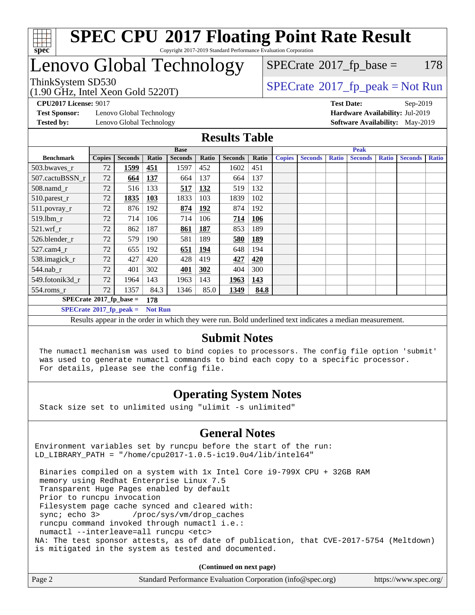

## Lenovo Global Technology

### $SPECTate@2017<sub>fr</sub> base = 178$

(1.90 GHz, Intel Xeon Gold 5220T)

ThinkSystem SD530<br>(1.00 GHz, Intel Year Gold 5220T) [SPECrate](http://www.spec.org/auto/cpu2017/Docs/result-fields.html#SPECrate2017fppeak)®[2017\\_fp\\_peak = N](http://www.spec.org/auto/cpu2017/Docs/result-fields.html#SPECrate2017fppeak)ot Run

**[Test Sponsor:](http://www.spec.org/auto/cpu2017/Docs/result-fields.html#TestSponsor)** Lenovo Global Technology **[Hardware Availability:](http://www.spec.org/auto/cpu2017/Docs/result-fields.html#HardwareAvailability)** Jul-2019 **[Tested by:](http://www.spec.org/auto/cpu2017/Docs/result-fields.html#Testedby)** Lenovo Global Technology **[Software Availability:](http://www.spec.org/auto/cpu2017/Docs/result-fields.html#SoftwareAvailability)** May-2019

**[CPU2017 License:](http://www.spec.org/auto/cpu2017/Docs/result-fields.html#CPU2017License)** 9017 **[Test Date:](http://www.spec.org/auto/cpu2017/Docs/result-fields.html#TestDate)** Sep-2019

#### **[Results Table](http://www.spec.org/auto/cpu2017/Docs/result-fields.html#ResultsTable)**

|                                               | <b>Base</b>                                        |                |            |                |             | <b>Peak</b>    |            |               |                |              |                |              |                |              |
|-----------------------------------------------|----------------------------------------------------|----------------|------------|----------------|-------------|----------------|------------|---------------|----------------|--------------|----------------|--------------|----------------|--------------|
| <b>Benchmark</b>                              | <b>Copies</b>                                      | <b>Seconds</b> | Ratio      | <b>Seconds</b> | Ratio       | <b>Seconds</b> | Ratio      | <b>Copies</b> | <b>Seconds</b> | <b>Ratio</b> | <b>Seconds</b> | <b>Ratio</b> | <b>Seconds</b> | <b>Ratio</b> |
| 503.bwayes_r                                  | 72                                                 | 1599           | <u>451</u> | 1597           | 452         | 1602           | 451        |               |                |              |                |              |                |              |
| 507.cactuBSSN r                               | 72                                                 | 664            | 137        | 664            | 137         | 664            | 137        |               |                |              |                |              |                |              |
| $508$ .namd $r$                               | 72                                                 | 516            | 133        | 517            | 132         | 519            | 132        |               |                |              |                |              |                |              |
| 510.parest_r                                  | 72                                                 | 1835           | <b>103</b> | 1833           | 103         | 1839           | 102        |               |                |              |                |              |                |              |
| 511.povray_r                                  | 72                                                 | 876            | 192        | 874            | <u>192</u>  | 874            | 192        |               |                |              |                |              |                |              |
| 519.lbm r                                     | 72                                                 | 714            | 106        | 714            | 106         | 714            | 106        |               |                |              |                |              |                |              |
| $521.wrf$ r                                   | 72                                                 | 862            | 187        | 861            | 187         | 853            | 189        |               |                |              |                |              |                |              |
| 526.blender r                                 | 72                                                 | 579            | 190        | 581            | 189         | 580            | <b>189</b> |               |                |              |                |              |                |              |
| $527$ .cam $4r$                               | 72                                                 | 655            | 192        | 651            | <u> 194</u> | 648            | 194        |               |                |              |                |              |                |              |
| 538.imagick_r                                 | 72                                                 | 427            | 420        | 428            | 419         | 427            | 420        |               |                |              |                |              |                |              |
| $544$ .nab r                                  | 72                                                 | 401            | 302        | 401            | 302         | 404            | 300        |               |                |              |                |              |                |              |
| 549.fotonik3d r                               | 72                                                 | 1964           | 143        | 1963           | 143         | 1963           | 143        |               |                |              |                |              |                |              |
| $554$ .roms_r                                 | 72                                                 | 1357           | 84.3       | 1346           | 85.0        | 1349           | 84.8       |               |                |              |                |              |                |              |
| $SPECrate$ <sup>®</sup> 2017_fp_base =<br>178 |                                                    |                |            |                |             |                |            |               |                |              |                |              |                |              |
|                                               | <b>Not Run</b><br>$SPECrate^{\circ}2017$ fp peak = |                |            |                |             |                |            |               |                |              |                |              |                |              |

Results appear in the [order in which they were run.](http://www.spec.org/auto/cpu2017/Docs/result-fields.html#RunOrder) Bold underlined text [indicates a median measurement.](http://www.spec.org/auto/cpu2017/Docs/result-fields.html#Median)

#### **[Submit Notes](http://www.spec.org/auto/cpu2017/Docs/result-fields.html#SubmitNotes)**

 The numactl mechanism was used to bind copies to processors. The config file option 'submit' was used to generate numactl commands to bind each copy to a specific processor. For details, please see the config file.

### **[Operating System Notes](http://www.spec.org/auto/cpu2017/Docs/result-fields.html#OperatingSystemNotes)**

Stack size set to unlimited using "ulimit -s unlimited"

### **[General Notes](http://www.spec.org/auto/cpu2017/Docs/result-fields.html#GeneralNotes)**

Environment variables set by runcpu before the start of the run: LD\_LIBRARY\_PATH = "/home/cpu2017-1.0.5-ic19.0u4/lib/intel64"

 Binaries compiled on a system with 1x Intel Core i9-799X CPU + 32GB RAM memory using Redhat Enterprise Linux 7.5 Transparent Huge Pages enabled by default Prior to runcpu invocation Filesystem page cache synced and cleared with: sync; echo 3> /proc/sys/vm/drop\_caches runcpu command invoked through numactl i.e.: numactl --interleave=all runcpu <etc> NA: The test sponsor attests, as of date of publication, that CVE-2017-5754 (Meltdown) is mitigated in the system as tested and documented.

**(Continued on next page)**

| Page 2 | Standard Performance Evaluation Corporation (info@spec.org) | https://www.spec.org/ |
|--------|-------------------------------------------------------------|-----------------------|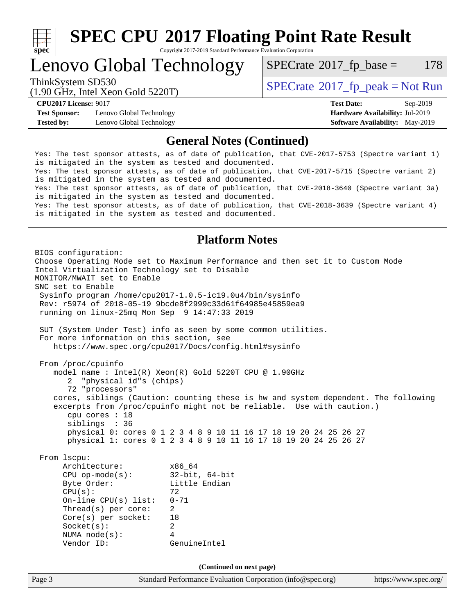

# **[SPEC CPU](http://www.spec.org/auto/cpu2017/Docs/result-fields.html#SPECCPU2017FloatingPointRateResult)[2017 Floating Point Rate Result](http://www.spec.org/auto/cpu2017/Docs/result-fields.html#SPECCPU2017FloatingPointRateResult)**

Copyright 2017-2019 Standard Performance Evaluation Corporation

### Lenovo Global Technology

 $SPECTate$ <sup>®</sup>[2017\\_fp\\_base =](http://www.spec.org/auto/cpu2017/Docs/result-fields.html#SPECrate2017fpbase) 178

(1.90 GHz, Intel Xeon Gold 5220T)

ThinkSystem SD530<br>  $\begin{array}{c}\n\text{SPECTR}_{12} \text{J}^{\text{total}} \text{Y}_{220} \\
\text{SPECTR}_{201} \text{J}^{\text{total}} \text{Y}_{220} \\
\text{SPECTR}_{31} \text{J}^{\text{total}} \text{Y}_{220} \\
\text{SPECTR}_{41} \text{J}^{\text{total}} \text{Y}_{220} \\
\text{SPECTR}_{51} \text{J}^{\text{total}} \text{Y}_{220} \\
\text{SPECTR}_{61} \text{J}^{\text{total}} \text{Y}_{220} \\
\text{SPECTR$ 

**[Test Sponsor:](http://www.spec.org/auto/cpu2017/Docs/result-fields.html#TestSponsor)** Lenovo Global Technology **[Hardware Availability:](http://www.spec.org/auto/cpu2017/Docs/result-fields.html#HardwareAvailability)** Jul-2019 **[Tested by:](http://www.spec.org/auto/cpu2017/Docs/result-fields.html#Testedby)** Lenovo Global Technology **[Software Availability:](http://www.spec.org/auto/cpu2017/Docs/result-fields.html#SoftwareAvailability)** May-2019

**[CPU2017 License:](http://www.spec.org/auto/cpu2017/Docs/result-fields.html#CPU2017License)** 9017 **[Test Date:](http://www.spec.org/auto/cpu2017/Docs/result-fields.html#TestDate)** Sep-2019

### **[General Notes \(Continued\)](http://www.spec.org/auto/cpu2017/Docs/result-fields.html#GeneralNotes)**

Yes: The test sponsor attests, as of date of publication, that CVE-2017-5753 (Spectre variant 1) is mitigated in the system as tested and documented. Yes: The test sponsor attests, as of date of publication, that CVE-2017-5715 (Spectre variant 2) is mitigated in the system as tested and documented. Yes: The test sponsor attests, as of date of publication, that CVE-2018-3640 (Spectre variant 3a) is mitigated in the system as tested and documented. Yes: The test sponsor attests, as of date of publication, that CVE-2018-3639 (Spectre variant 4) is mitigated in the system as tested and documented.

### **[Platform Notes](http://www.spec.org/auto/cpu2017/Docs/result-fields.html#PlatformNotes)**

Page 3 Standard Performance Evaluation Corporation [\(info@spec.org\)](mailto:info@spec.org) <https://www.spec.org/> BIOS configuration: Choose Operating Mode set to Maximum Performance and then set it to Custom Mode Intel Virtualization Technology set to Disable MONITOR/MWAIT set to Enable SNC set to Enable Sysinfo program /home/cpu2017-1.0.5-ic19.0u4/bin/sysinfo Rev: r5974 of 2018-05-19 9bcde8f2999c33d61f64985e45859ea9 running on linux-25mq Mon Sep 9 14:47:33 2019 SUT (System Under Test) info as seen by some common utilities. For more information on this section, see <https://www.spec.org/cpu2017/Docs/config.html#sysinfo> From /proc/cpuinfo model name : Intel(R) Xeon(R) Gold 5220T CPU @ 1.90GHz 2 "physical id"s (chips) 72 "processors" cores, siblings (Caution: counting these is hw and system dependent. The following excerpts from /proc/cpuinfo might not be reliable. Use with caution.) cpu cores : 18 siblings : 36 physical 0: cores 0 1 2 3 4 8 9 10 11 16 17 18 19 20 24 25 26 27 physical 1: cores 0 1 2 3 4 8 9 10 11 16 17 18 19 20 24 25 26 27 From lscpu: Architecture: x86\_64 CPU op-mode(s): 32-bit, 64-bit Byte Order: Little Endian  $CPU(s):$  72 On-line CPU(s) list: 0-71 Thread(s) per core: 2 Core(s) per socket: 18 Socket(s): 2 NUMA node(s): 4 Vendor ID: GenuineIntel **(Continued on next page)**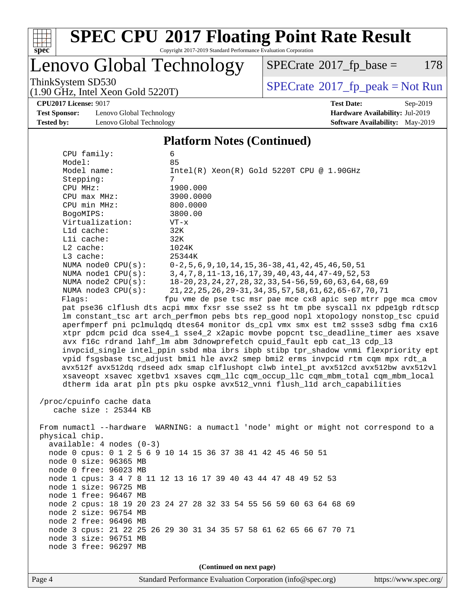

# **[SPEC CPU](http://www.spec.org/auto/cpu2017/Docs/result-fields.html#SPECCPU2017FloatingPointRateResult)[2017 Floating Point Rate Result](http://www.spec.org/auto/cpu2017/Docs/result-fields.html#SPECCPU2017FloatingPointRateResult)**

Copyright 2017-2019 Standard Performance Evaluation Corporation

Lenovo Global Technology

 $SPECTate@2017<sub>fr</sub> base = 178$ 

(1.90 GHz, Intel Xeon Gold 5220T)

ThinkSystem SD530<br>(1.90 GHz, Intel Xeon Gold 5220T)  $\begin{array}{c} | \text{SPECrate} \textdegree 2017\_fp\_peak = Not Run \end{array}$  $\begin{array}{c} | \text{SPECrate} \textdegree 2017\_fp\_peak = Not Run \end{array}$  $\begin{array}{c} | \text{SPECrate} \textdegree 2017\_fp\_peak = Not Run \end{array}$ 

**[Test Sponsor:](http://www.spec.org/auto/cpu2017/Docs/result-fields.html#TestSponsor)** Lenovo Global Technology **[Hardware Availability:](http://www.spec.org/auto/cpu2017/Docs/result-fields.html#HardwareAvailability)** Jul-2019 **[Tested by:](http://www.spec.org/auto/cpu2017/Docs/result-fields.html#Testedby)** Lenovo Global Technology **[Software Availability:](http://www.spec.org/auto/cpu2017/Docs/result-fields.html#SoftwareAvailability)** May-2019

**[CPU2017 License:](http://www.spec.org/auto/cpu2017/Docs/result-fields.html#CPU2017License)** 9017 **[Test Date:](http://www.spec.org/auto/cpu2017/Docs/result-fields.html#TestDate)** Sep-2019

#### **[Platform Notes \(Continued\)](http://www.spec.org/auto/cpu2017/Docs/result-fields.html#PlatformNotes)**

 CPU family: 6 Model: 85 Model name:  $Intel(R)$  Xeon(R) Gold 5220T CPU @ 1.90GHz Stepping: 7 CPU MHz: 1900.000 CPU max MHz: 3900.0000 CPU min MHz: 800.0000 BogoMIPS: 3800.00 Virtualization: VT-x L1d cache: 32K L1i cache: 32K L2 cache: 1024K L3 cache: 25344K NUMA node0 CPU(s): 0-2,5,6,9,10,14,15,36-38,41,42,45,46,50,51 NUMA node1 CPU(s): 3,4,7,8,11-13,16,17,39,40,43,44,47-49,52,53 NUMA node2 CPU(s): 18-20,23,24,27,28,32,33,54-56,59,60,63,64,68,69 NUMA node3 CPU(s): 21,22,25,26,29-31,34,35,57,58,61,62,65-67,70,71 Flags: fpu vme de pse tsc msr pae mce cx8 apic sep mtrr pge mca cmov pat pse36 clflush dts acpi mmx fxsr sse sse2 ss ht tm pbe syscall nx pdpe1gb rdtscp lm constant\_tsc art arch\_perfmon pebs bts rep\_good nopl xtopology nonstop\_tsc cpuid aperfmperf pni pclmulqdq dtes64 monitor ds\_cpl vmx smx est tm2 ssse3 sdbg fma cx16 xtpr pdcm pcid dca sse4\_1 sse4\_2 x2apic movbe popcnt tsc\_deadline\_timer aes xsave avx f16c rdrand lahf\_lm abm 3dnowprefetch cpuid\_fault epb cat\_l3 cdp\_l3 invpcid\_single intel\_ppin ssbd mba ibrs ibpb stibp tpr\_shadow vnmi flexpriority ept vpid fsgsbase tsc\_adjust bmi1 hle avx2 smep bmi2 erms invpcid rtm cqm mpx rdt\_a avx512f avx512dq rdseed adx smap clflushopt clwb intel\_pt avx512cd avx512bw avx512vl xsaveopt xsavec xgetbv1 xsaves cqm\_llc cqm\_occup\_llc cqm\_mbm\_total cqm\_mbm\_local dtherm ida arat pln pts pku ospke avx512\_vnni flush\_l1d arch\_capabilities /proc/cpuinfo cache data cache size : 25344 KB From numactl --hardware WARNING: a numactl 'node' might or might not correspond to a physical chip. available: 4 nodes (0-3) node 0 cpus: 0 1 2 5 6 9 10 14 15 36 37 38 41 42 45 46 50 51 node 0 size: 96365 MB node 0 free: 96023 MB node 1 cpus: 3 4 7 8 11 12 13 16 17 39 40 43 44 47 48 49 52 53 node 1 size: 96725 MB node 1 free: 96467 MB node 2 cpus: 18 19 20 23 24 27 28 32 33 54 55 56 59 60 63 64 68 69 node 2 size: 96754 MB node 2 free: 96496 MB node 3 cpus: 21 22 25 26 29 30 31 34 35 57 58 61 62 65 66 67 70 71 node 3 size: 96751 MB node 3 free: 96297 MB **(Continued on next page)**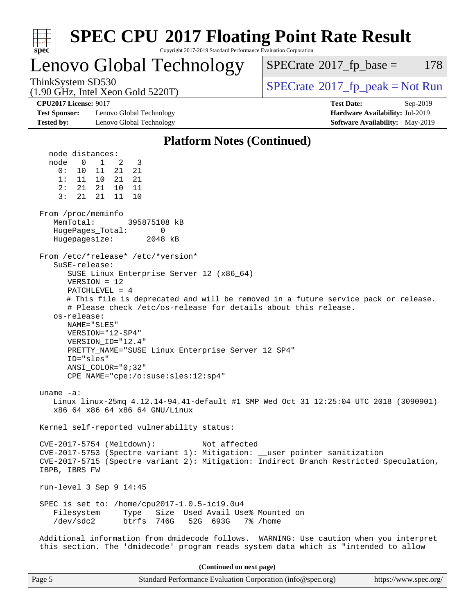| <b>SPEC CPU®2017 Floating Point Rate Result</b>                                                                                                                                                                                                                                                                                                                                                                                                                                                                                                                                                                                                                                                                                                                                                                                                                                                                                                                                                                                                                                                                                    |                                                                                                     |
|------------------------------------------------------------------------------------------------------------------------------------------------------------------------------------------------------------------------------------------------------------------------------------------------------------------------------------------------------------------------------------------------------------------------------------------------------------------------------------------------------------------------------------------------------------------------------------------------------------------------------------------------------------------------------------------------------------------------------------------------------------------------------------------------------------------------------------------------------------------------------------------------------------------------------------------------------------------------------------------------------------------------------------------------------------------------------------------------------------------------------------|-----------------------------------------------------------------------------------------------------|
| Copyright 2017-2019 Standard Performance Evaluation Corporation<br>$spec^*$<br>Lenovo Global Technology                                                                                                                                                                                                                                                                                                                                                                                                                                                                                                                                                                                                                                                                                                                                                                                                                                                                                                                                                                                                                            | 178<br>$SPECrate^{\circ}2017$ _fp_base =                                                            |
| ThinkSystem SD530<br>$(1.90 \text{ GHz}, \text{Intel Xeon Gold } 5220 \text{T})$                                                                                                                                                                                                                                                                                                                                                                                                                                                                                                                                                                                                                                                                                                                                                                                                                                                                                                                                                                                                                                                   | $SPECrate^{\circ}2017rfp peak = Not Run$                                                            |
| <b>CPU2017 License: 9017</b><br><b>Test Sponsor:</b><br>Lenovo Global Technology<br><b>Tested by:</b><br>Lenovo Global Technology                                                                                                                                                                                                                                                                                                                                                                                                                                                                                                                                                                                                                                                                                                                                                                                                                                                                                                                                                                                                  | <b>Test Date:</b><br>Sep-2019<br>Hardware Availability: Jul-2019<br>Software Availability: May-2019 |
| <b>Platform Notes (Continued)</b>                                                                                                                                                                                                                                                                                                                                                                                                                                                                                                                                                                                                                                                                                                                                                                                                                                                                                                                                                                                                                                                                                                  |                                                                                                     |
| node distances:<br>node<br>$\mathbf{1}$<br>0<br>2<br>3<br>0 :<br>11<br>21<br>21<br>10<br>1:<br>11 10<br>21<br>21<br>2:<br>10<br>21 21<br>11<br>3:<br>21<br>21<br>11<br>10<br>From /proc/meminfo<br>MemTotal:<br>395875108 kB<br>$\mathbf{0}$<br>HugePages_Total:<br>Hugepagesize:<br>2048 kB<br>From /etc/*release* /etc/*version*<br>$S$ uSE-release:<br>SUSE Linux Enterprise Server 12 (x86_64)<br>$VERSION = 12$<br>$PATCHLEVEL = 4$<br># This file is deprecated and will be removed in a future service pack or release.<br># Please check /etc/os-release for details about this release.<br>os-release:<br>NAME="SLES"<br>VERSION="12-SP4"<br>VERSION ID="12.4"<br>PRETTY_NAME="SUSE Linux Enterprise Server 12 SP4"<br>ID="sles"<br>$ANSI$ _COLOR=" $0:32$ "<br>$CPE\_NAME="cpe://o:suse:gles:12:sp4"$<br>uname $-a$ :<br>Linux linux-25mq 4.12.14-94.41-default #1 SMP Wed Oct 31 12:25:04 UTC 2018 (3090901)<br>x86_64 x86_64 x86_64 GNU/Linux<br>Kernel self-reported vulnerability status:<br>CVE-2017-5754 (Meltdown):<br>Not affected<br>CVE-2017-5753 (Spectre variant 1): Mitigation: __user pointer sanitization |                                                                                                     |
| CVE-2017-5715 (Spectre variant 2): Mitigation: Indirect Branch Restricted Speculation,<br>IBPB, IBRS FW                                                                                                                                                                                                                                                                                                                                                                                                                                                                                                                                                                                                                                                                                                                                                                                                                                                                                                                                                                                                                            |                                                                                                     |
| run-level $3$ Sep $9$ 14:45                                                                                                                                                                                                                                                                                                                                                                                                                                                                                                                                                                                                                                                                                                                                                                                                                                                                                                                                                                                                                                                                                                        |                                                                                                     |
| SPEC is set to: /home/cpu2017-1.0.5-ic19.0u4<br>Size Used Avail Use% Mounted on<br>Filesystem<br>Type<br>/dev/sdc2<br>btrfs 746G<br>52G 693G                                                                                                                                                                                                                                                                                                                                                                                                                                                                                                                                                                                                                                                                                                                                                                                                                                                                                                                                                                                       | 7% /home                                                                                            |
| Additional information from dmidecode follows. WARNING: Use caution when you interpret<br>this section. The 'dmidecode' program reads system data which is "intended to allow                                                                                                                                                                                                                                                                                                                                                                                                                                                                                                                                                                                                                                                                                                                                                                                                                                                                                                                                                      |                                                                                                     |
| (Continued on next page)                                                                                                                                                                                                                                                                                                                                                                                                                                                                                                                                                                                                                                                                                                                                                                                                                                                                                                                                                                                                                                                                                                           |                                                                                                     |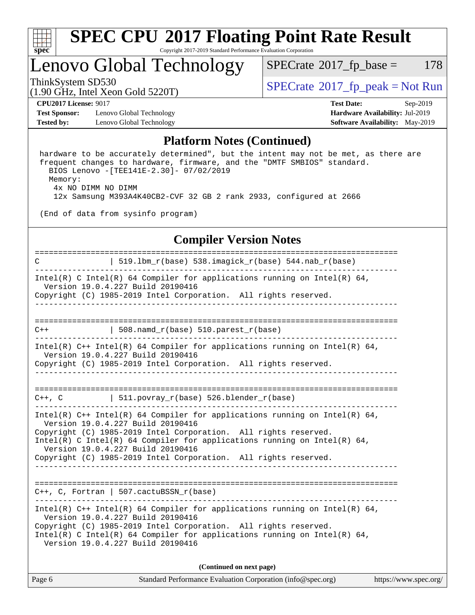

## Lenovo Global Technology

 $SPECTate@2017<sub>fr</sub> base = 178$ 

(1.90 GHz, Intel Xeon Gold 5220T)

ThinkSystem SD530  $SPECrate@2017_fp\_peak = Not Run$  $SPECrate@2017_fp\_peak = Not Run$ 

**[CPU2017 License:](http://www.spec.org/auto/cpu2017/Docs/result-fields.html#CPU2017License)** 9017 **[Test Date:](http://www.spec.org/auto/cpu2017/Docs/result-fields.html#TestDate)** Sep-2019

**[Test Sponsor:](http://www.spec.org/auto/cpu2017/Docs/result-fields.html#TestSponsor)** Lenovo Global Technology **[Hardware Availability:](http://www.spec.org/auto/cpu2017/Docs/result-fields.html#HardwareAvailability)** Jul-2019 **[Tested by:](http://www.spec.org/auto/cpu2017/Docs/result-fields.html#Testedby)** Lenovo Global Technology **[Software Availability:](http://www.spec.org/auto/cpu2017/Docs/result-fields.html#SoftwareAvailability)** May-2019

#### **[Platform Notes \(Continued\)](http://www.spec.org/auto/cpu2017/Docs/result-fields.html#PlatformNotes)**

 hardware to be accurately determined", but the intent may not be met, as there are frequent changes to hardware, firmware, and the "DMTF SMBIOS" standard. BIOS Lenovo -[TEE141E-2.30]- 07/02/2019 Memory: 4x NO DIMM NO DIMM 12x Samsung M393A4K40CB2-CVF 32 GB 2 rank 2933, configured at 2666

(End of data from sysinfo program)

#### **[Compiler Version Notes](http://www.spec.org/auto/cpu2017/Docs/result-fields.html#CompilerVersionNotes)**

============================================================================== C | 519.lbm\_r(base) 538.imagick\_r(base) 544.nab\_r(base) ------------------------------------------------------------------------------ Intel(R) C Intel(R) 64 Compiler for applications running on Intel(R) 64, Version 19.0.4.227 Build 20190416 Copyright (C) 1985-2019 Intel Corporation. All rights reserved. ------------------------------------------------------------------------------ ==============================================================================  $C++$  | 508.namd\_r(base) 510.parest\_r(base) ------------------------------------------------------------------------------ Intel(R) C++ Intel(R) 64 Compiler for applications running on Intel(R) 64, Version 19.0.4.227 Build 20190416 Copyright (C) 1985-2019 Intel Corporation. All rights reserved. ------------------------------------------------------------------------------ ==============================================================================  $C++$ ,  $C$  | 511.povray\_r(base) 526.blender\_r(base) ------------------------------------------------------------------------------ Intel(R) C++ Intel(R) 64 Compiler for applications running on Intel(R) 64, Version 19.0.4.227 Build 20190416 Copyright (C) 1985-2019 Intel Corporation. All rights reserved. Intel(R) C Intel(R) 64 Compiler for applications running on Intel(R)  $64$ , Version 19.0.4.227 Build 20190416 Copyright (C) 1985-2019 Intel Corporation. All rights reserved. ------------------------------------------------------------------------------ ============================================================================== C++, C, Fortran | 507.cactuBSSN\_r(base) ------------------------------------------------------------------------------ Intel(R) C++ Intel(R) 64 Compiler for applications running on Intel(R)  $64$ , Version 19.0.4.227 Build 20190416 Copyright (C) 1985-2019 Intel Corporation. All rights reserved. Intel(R) C Intel(R) 64 Compiler for applications running on Intel(R)  $64$ , Version 19.0.4.227 Build 20190416 **(Continued on next page)**

| Page 6 | Standard Performance Evaluation Corporation (info@spec.org) | https://www.spec.org/ |
|--------|-------------------------------------------------------------|-----------------------|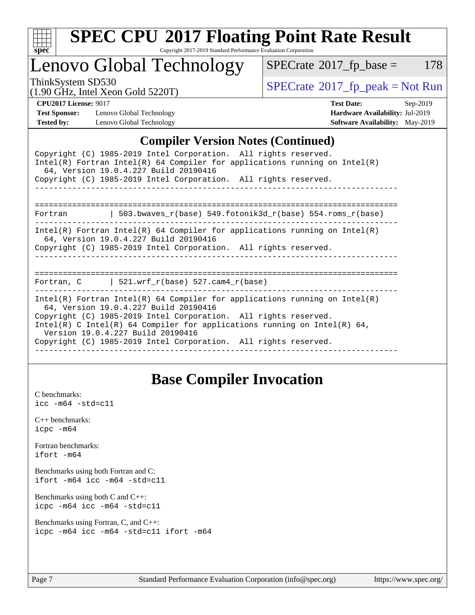

# **[SPEC CPU](http://www.spec.org/auto/cpu2017/Docs/result-fields.html#SPECCPU2017FloatingPointRateResult)[2017 Floating Point Rate Result](http://www.spec.org/auto/cpu2017/Docs/result-fields.html#SPECCPU2017FloatingPointRateResult)**

Copyright 2017-2019 Standard Performance Evaluation Corporation

Lenovo Global Technology

 $SPECTate@2017_fp\_base = 178$ 

(1.90 GHz, Intel Xeon Gold 5220T)

ThinkSystem SD530<br>(1.00 GHz, Intel Year Gold 5220T) [SPECrate](http://www.spec.org/auto/cpu2017/Docs/result-fields.html#SPECrate2017fppeak)®[2017\\_fp\\_peak = N](http://www.spec.org/auto/cpu2017/Docs/result-fields.html#SPECrate2017fppeak)ot Run

**[Test Sponsor:](http://www.spec.org/auto/cpu2017/Docs/result-fields.html#TestSponsor)** Lenovo Global Technology **[Hardware Availability:](http://www.spec.org/auto/cpu2017/Docs/result-fields.html#HardwareAvailability)** Jul-2019 **[Tested by:](http://www.spec.org/auto/cpu2017/Docs/result-fields.html#Testedby)** Lenovo Global Technology **[Software Availability:](http://www.spec.org/auto/cpu2017/Docs/result-fields.html#SoftwareAvailability)** May-2019

**[CPU2017 License:](http://www.spec.org/auto/cpu2017/Docs/result-fields.html#CPU2017License)** 9017 **[Test Date:](http://www.spec.org/auto/cpu2017/Docs/result-fields.html#TestDate)** Sep-2019

#### **[Compiler Version Notes \(Continued\)](http://www.spec.org/auto/cpu2017/Docs/result-fields.html#CompilerVersionNotes)**

### **[Base Compiler Invocation](http://www.spec.org/auto/cpu2017/Docs/result-fields.html#BaseCompilerInvocation)**

[C benchmarks](http://www.spec.org/auto/cpu2017/Docs/result-fields.html#Cbenchmarks): [icc -m64 -std=c11](http://www.spec.org/cpu2017/results/res2019q4/cpu2017-20191014-19122.flags.html#user_CCbase_intel_icc_64bit_c11_33ee0cdaae7deeeab2a9725423ba97205ce30f63b9926c2519791662299b76a0318f32ddfffdc46587804de3178b4f9328c46fa7c2b0cd779d7a61945c91cd35)

[C++ benchmarks:](http://www.spec.org/auto/cpu2017/Docs/result-fields.html#CXXbenchmarks) [icpc -m64](http://www.spec.org/cpu2017/results/res2019q4/cpu2017-20191014-19122.flags.html#user_CXXbase_intel_icpc_64bit_4ecb2543ae3f1412ef961e0650ca070fec7b7afdcd6ed48761b84423119d1bf6bdf5cad15b44d48e7256388bc77273b966e5eb805aefd121eb22e9299b2ec9d9)

[Fortran benchmarks](http://www.spec.org/auto/cpu2017/Docs/result-fields.html#Fortranbenchmarks): [ifort -m64](http://www.spec.org/cpu2017/results/res2019q4/cpu2017-20191014-19122.flags.html#user_FCbase_intel_ifort_64bit_24f2bb282fbaeffd6157abe4f878425411749daecae9a33200eee2bee2fe76f3b89351d69a8130dd5949958ce389cf37ff59a95e7a40d588e8d3a57e0c3fd751)

[Benchmarks using both Fortran and C](http://www.spec.org/auto/cpu2017/Docs/result-fields.html#BenchmarksusingbothFortranandC): [ifort -m64](http://www.spec.org/cpu2017/results/res2019q4/cpu2017-20191014-19122.flags.html#user_CC_FCbase_intel_ifort_64bit_24f2bb282fbaeffd6157abe4f878425411749daecae9a33200eee2bee2fe76f3b89351d69a8130dd5949958ce389cf37ff59a95e7a40d588e8d3a57e0c3fd751) [icc -m64 -std=c11](http://www.spec.org/cpu2017/results/res2019q4/cpu2017-20191014-19122.flags.html#user_CC_FCbase_intel_icc_64bit_c11_33ee0cdaae7deeeab2a9725423ba97205ce30f63b9926c2519791662299b76a0318f32ddfffdc46587804de3178b4f9328c46fa7c2b0cd779d7a61945c91cd35)

[Benchmarks using both C and C++](http://www.spec.org/auto/cpu2017/Docs/result-fields.html#BenchmarksusingbothCandCXX): [icpc -m64](http://www.spec.org/cpu2017/results/res2019q4/cpu2017-20191014-19122.flags.html#user_CC_CXXbase_intel_icpc_64bit_4ecb2543ae3f1412ef961e0650ca070fec7b7afdcd6ed48761b84423119d1bf6bdf5cad15b44d48e7256388bc77273b966e5eb805aefd121eb22e9299b2ec9d9) [icc -m64 -std=c11](http://www.spec.org/cpu2017/results/res2019q4/cpu2017-20191014-19122.flags.html#user_CC_CXXbase_intel_icc_64bit_c11_33ee0cdaae7deeeab2a9725423ba97205ce30f63b9926c2519791662299b76a0318f32ddfffdc46587804de3178b4f9328c46fa7c2b0cd779d7a61945c91cd35)

[Benchmarks using Fortran, C, and C++:](http://www.spec.org/auto/cpu2017/Docs/result-fields.html#BenchmarksusingFortranCandCXX) [icpc -m64](http://www.spec.org/cpu2017/results/res2019q4/cpu2017-20191014-19122.flags.html#user_CC_CXX_FCbase_intel_icpc_64bit_4ecb2543ae3f1412ef961e0650ca070fec7b7afdcd6ed48761b84423119d1bf6bdf5cad15b44d48e7256388bc77273b966e5eb805aefd121eb22e9299b2ec9d9) [icc -m64 -std=c11](http://www.spec.org/cpu2017/results/res2019q4/cpu2017-20191014-19122.flags.html#user_CC_CXX_FCbase_intel_icc_64bit_c11_33ee0cdaae7deeeab2a9725423ba97205ce30f63b9926c2519791662299b76a0318f32ddfffdc46587804de3178b4f9328c46fa7c2b0cd779d7a61945c91cd35) [ifort -m64](http://www.spec.org/cpu2017/results/res2019q4/cpu2017-20191014-19122.flags.html#user_CC_CXX_FCbase_intel_ifort_64bit_24f2bb282fbaeffd6157abe4f878425411749daecae9a33200eee2bee2fe76f3b89351d69a8130dd5949958ce389cf37ff59a95e7a40d588e8d3a57e0c3fd751)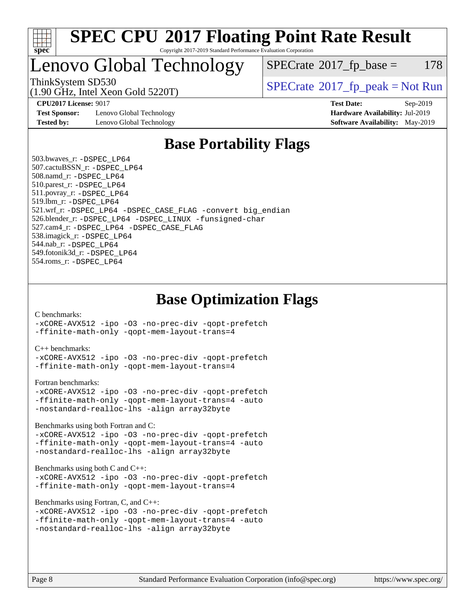

### Lenovo Global Technology

 $SPECTate@2017<sub>fr</sub> base = 178$ 

(1.90 GHz, Intel Xeon Gold 5220T)

ThinkSystem SD530<br>(1.00 GHz, Intel Year Gold 5220T) [SPECrate](http://www.spec.org/auto/cpu2017/Docs/result-fields.html#SPECrate2017fppeak)®[2017\\_fp\\_peak = N](http://www.spec.org/auto/cpu2017/Docs/result-fields.html#SPECrate2017fppeak)ot Run

**[Test Sponsor:](http://www.spec.org/auto/cpu2017/Docs/result-fields.html#TestSponsor)** Lenovo Global Technology **[Hardware Availability:](http://www.spec.org/auto/cpu2017/Docs/result-fields.html#HardwareAvailability)** Jul-2019 **[Tested by:](http://www.spec.org/auto/cpu2017/Docs/result-fields.html#Testedby)** Lenovo Global Technology **[Software Availability:](http://www.spec.org/auto/cpu2017/Docs/result-fields.html#SoftwareAvailability)** May-2019

**[CPU2017 License:](http://www.spec.org/auto/cpu2017/Docs/result-fields.html#CPU2017License)** 9017 **[Test Date:](http://www.spec.org/auto/cpu2017/Docs/result-fields.html#TestDate)** Sep-2019

### **[Base Portability Flags](http://www.spec.org/auto/cpu2017/Docs/result-fields.html#BasePortabilityFlags)**

 503.bwaves\_r: [-DSPEC\\_LP64](http://www.spec.org/cpu2017/results/res2019q4/cpu2017-20191014-19122.flags.html#suite_basePORTABILITY503_bwaves_r_DSPEC_LP64) 507.cactuBSSN\_r: [-DSPEC\\_LP64](http://www.spec.org/cpu2017/results/res2019q4/cpu2017-20191014-19122.flags.html#suite_basePORTABILITY507_cactuBSSN_r_DSPEC_LP64) 508.namd\_r: [-DSPEC\\_LP64](http://www.spec.org/cpu2017/results/res2019q4/cpu2017-20191014-19122.flags.html#suite_basePORTABILITY508_namd_r_DSPEC_LP64) 510.parest\_r: [-DSPEC\\_LP64](http://www.spec.org/cpu2017/results/res2019q4/cpu2017-20191014-19122.flags.html#suite_basePORTABILITY510_parest_r_DSPEC_LP64) 511.povray\_r: [-DSPEC\\_LP64](http://www.spec.org/cpu2017/results/res2019q4/cpu2017-20191014-19122.flags.html#suite_basePORTABILITY511_povray_r_DSPEC_LP64) 519.lbm\_r: [-DSPEC\\_LP64](http://www.spec.org/cpu2017/results/res2019q4/cpu2017-20191014-19122.flags.html#suite_basePORTABILITY519_lbm_r_DSPEC_LP64) 521.wrf\_r: [-DSPEC\\_LP64](http://www.spec.org/cpu2017/results/res2019q4/cpu2017-20191014-19122.flags.html#suite_basePORTABILITY521_wrf_r_DSPEC_LP64) [-DSPEC\\_CASE\\_FLAG](http://www.spec.org/cpu2017/results/res2019q4/cpu2017-20191014-19122.flags.html#b521.wrf_r_baseCPORTABILITY_DSPEC_CASE_FLAG) [-convert big\\_endian](http://www.spec.org/cpu2017/results/res2019q4/cpu2017-20191014-19122.flags.html#user_baseFPORTABILITY521_wrf_r_convert_big_endian_c3194028bc08c63ac5d04de18c48ce6d347e4e562e8892b8bdbdc0214820426deb8554edfa529a3fb25a586e65a3d812c835984020483e7e73212c4d31a38223) 526.blender\_r: [-DSPEC\\_LP64](http://www.spec.org/cpu2017/results/res2019q4/cpu2017-20191014-19122.flags.html#suite_basePORTABILITY526_blender_r_DSPEC_LP64) [-DSPEC\\_LINUX](http://www.spec.org/cpu2017/results/res2019q4/cpu2017-20191014-19122.flags.html#b526.blender_r_baseCPORTABILITY_DSPEC_LINUX) [-funsigned-char](http://www.spec.org/cpu2017/results/res2019q4/cpu2017-20191014-19122.flags.html#user_baseCPORTABILITY526_blender_r_force_uchar_40c60f00ab013830e2dd6774aeded3ff59883ba5a1fc5fc14077f794d777847726e2a5858cbc7672e36e1b067e7e5c1d9a74f7176df07886a243d7cc18edfe67) 527.cam4\_r: [-DSPEC\\_LP64](http://www.spec.org/cpu2017/results/res2019q4/cpu2017-20191014-19122.flags.html#suite_basePORTABILITY527_cam4_r_DSPEC_LP64) [-DSPEC\\_CASE\\_FLAG](http://www.spec.org/cpu2017/results/res2019q4/cpu2017-20191014-19122.flags.html#b527.cam4_r_baseCPORTABILITY_DSPEC_CASE_FLAG) 538.imagick\_r: [-DSPEC\\_LP64](http://www.spec.org/cpu2017/results/res2019q4/cpu2017-20191014-19122.flags.html#suite_basePORTABILITY538_imagick_r_DSPEC_LP64) 544.nab\_r: [-DSPEC\\_LP64](http://www.spec.org/cpu2017/results/res2019q4/cpu2017-20191014-19122.flags.html#suite_basePORTABILITY544_nab_r_DSPEC_LP64) 549.fotonik3d\_r: [-DSPEC\\_LP64](http://www.spec.org/cpu2017/results/res2019q4/cpu2017-20191014-19122.flags.html#suite_basePORTABILITY549_fotonik3d_r_DSPEC_LP64) 554.roms\_r: [-DSPEC\\_LP64](http://www.spec.org/cpu2017/results/res2019q4/cpu2017-20191014-19122.flags.html#suite_basePORTABILITY554_roms_r_DSPEC_LP64)

### **[Base Optimization Flags](http://www.spec.org/auto/cpu2017/Docs/result-fields.html#BaseOptimizationFlags)**

#### [C benchmarks](http://www.spec.org/auto/cpu2017/Docs/result-fields.html#Cbenchmarks):

[-xCORE-AVX512](http://www.spec.org/cpu2017/results/res2019q4/cpu2017-20191014-19122.flags.html#user_CCbase_f-xCORE-AVX512) [-ipo](http://www.spec.org/cpu2017/results/res2019q4/cpu2017-20191014-19122.flags.html#user_CCbase_f-ipo) [-O3](http://www.spec.org/cpu2017/results/res2019q4/cpu2017-20191014-19122.flags.html#user_CCbase_f-O3) [-no-prec-div](http://www.spec.org/cpu2017/results/res2019q4/cpu2017-20191014-19122.flags.html#user_CCbase_f-no-prec-div) [-qopt-prefetch](http://www.spec.org/cpu2017/results/res2019q4/cpu2017-20191014-19122.flags.html#user_CCbase_f-qopt-prefetch) [-ffinite-math-only](http://www.spec.org/cpu2017/results/res2019q4/cpu2017-20191014-19122.flags.html#user_CCbase_f_finite_math_only_cb91587bd2077682c4b38af759c288ed7c732db004271a9512da14a4f8007909a5f1427ecbf1a0fb78ff2a814402c6114ac565ca162485bbcae155b5e4258871) [-qopt-mem-layout-trans=4](http://www.spec.org/cpu2017/results/res2019q4/cpu2017-20191014-19122.flags.html#user_CCbase_f-qopt-mem-layout-trans_fa39e755916c150a61361b7846f310bcdf6f04e385ef281cadf3647acec3f0ae266d1a1d22d972a7087a248fd4e6ca390a3634700869573d231a252c784941a8)

#### [C++ benchmarks:](http://www.spec.org/auto/cpu2017/Docs/result-fields.html#CXXbenchmarks)

[-xCORE-AVX512](http://www.spec.org/cpu2017/results/res2019q4/cpu2017-20191014-19122.flags.html#user_CXXbase_f-xCORE-AVX512) [-ipo](http://www.spec.org/cpu2017/results/res2019q4/cpu2017-20191014-19122.flags.html#user_CXXbase_f-ipo) [-O3](http://www.spec.org/cpu2017/results/res2019q4/cpu2017-20191014-19122.flags.html#user_CXXbase_f-O3) [-no-prec-div](http://www.spec.org/cpu2017/results/res2019q4/cpu2017-20191014-19122.flags.html#user_CXXbase_f-no-prec-div) [-qopt-prefetch](http://www.spec.org/cpu2017/results/res2019q4/cpu2017-20191014-19122.flags.html#user_CXXbase_f-qopt-prefetch) [-ffinite-math-only](http://www.spec.org/cpu2017/results/res2019q4/cpu2017-20191014-19122.flags.html#user_CXXbase_f_finite_math_only_cb91587bd2077682c4b38af759c288ed7c732db004271a9512da14a4f8007909a5f1427ecbf1a0fb78ff2a814402c6114ac565ca162485bbcae155b5e4258871) [-qopt-mem-layout-trans=4](http://www.spec.org/cpu2017/results/res2019q4/cpu2017-20191014-19122.flags.html#user_CXXbase_f-qopt-mem-layout-trans_fa39e755916c150a61361b7846f310bcdf6f04e385ef281cadf3647acec3f0ae266d1a1d22d972a7087a248fd4e6ca390a3634700869573d231a252c784941a8)

#### [Fortran benchmarks](http://www.spec.org/auto/cpu2017/Docs/result-fields.html#Fortranbenchmarks):

```
-xCORE-AVX512 -ipo -O3 -no-prec-div -qopt-prefetch
-ffinite-math-only -qopt-mem-layout-trans=4 -auto
-nostandard-realloc-lhs -align array32byte
```
[Benchmarks using both Fortran and C](http://www.spec.org/auto/cpu2017/Docs/result-fields.html#BenchmarksusingbothFortranandC):

```
-xCORE-AVX512 -ipo -O3 -no-prec-div -qopt-prefetch
-ffinite-math-only -qopt-mem-layout-trans=4 -auto
-nostandard-realloc-lhs -align array32byte
```
#### [Benchmarks using both C and C++](http://www.spec.org/auto/cpu2017/Docs/result-fields.html#BenchmarksusingbothCandCXX):

```
-xCORE-AVX512 -ipo -O3 -no-prec-div -qopt-prefetch
-ffinite-math-only -qopt-mem-layout-trans=4
```
[Benchmarks using Fortran, C, and C++:](http://www.spec.org/auto/cpu2017/Docs/result-fields.html#BenchmarksusingFortranCandCXX)

```
-xCORE-AVX512 -ipo -O3 -no-prec-div -qopt-prefetch
-ffinite-math-only -qopt-mem-layout-trans=4 -auto
-nostandard-realloc-lhs -align array32byte
```